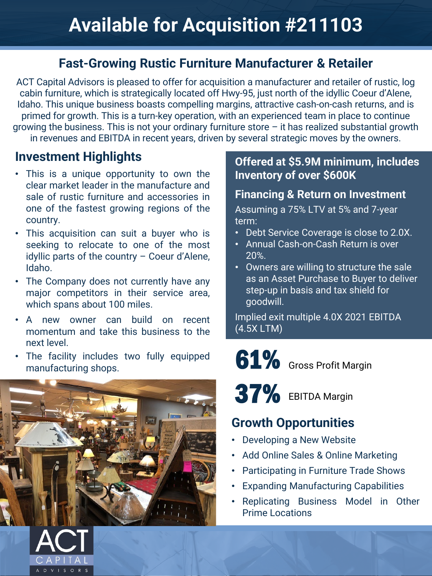### **Fast-Growing Rustic Furniture Manufacturer & Retailer**

ACT Capital Advisors is pleased to offer for acquisition a manufacturer and retailer of rustic, log cabin furniture, which is strategically located off Hwy-95, just north of the idyllic Coeur d'Alene, Idaho. This unique business boasts compelling margins, attractive cash-on-cash returns, and is primed for growth. This is a turn-key operation, with an experienced team in place to continue growing the business. This is not your ordinary furniture store – it has realized substantial growth in revenues and EBITDA in recent years, driven by several strategic moves by the owners.

#### **Investment Highlights**

- This is a unique opportunity to own the clear market leader in the manufacture and sale of rustic furniture and accessories in one of the fastest growing regions of the country.
- This acquisition can suit a buyer who is seeking to relocate to one of the most idyllic parts of the country – Coeur d'Alene, Idaho.
- The Company does not currently have any major competitors in their service area, which spans about 100 miles.
- A new owner can build on recent momentum and take this business to the next level.
- The facility includes two fully equipped manufacturing shops.



#### **Offered at \$5.9M minimum, includes Inventory of over \$600K**

#### **Financing & Return on Investment**

Assuming a 75% LTV at 5% and 7-year term:

- Debt Service Coverage is close to 2.0X.
- Annual Cash-on-Cash Return is over 20%.
- Owners are willing to structure the sale as an Asset Purchase to Buyer to deliver step-up in basis and tax shield for goodwill.

Implied exit multiple 4.0X 2021 EBITDA (4.5X LTM)

61% Gross Profit Margin

 $37\%$  EBITDA Margin

## **Growth Opportunities**

- Developing a New Website
- Add Online Sales & Online Marketing
- Participating in Furniture Trade Shows
- Expanding Manufacturing Capabilities
- Replicating Business Model in Other Prime Locations